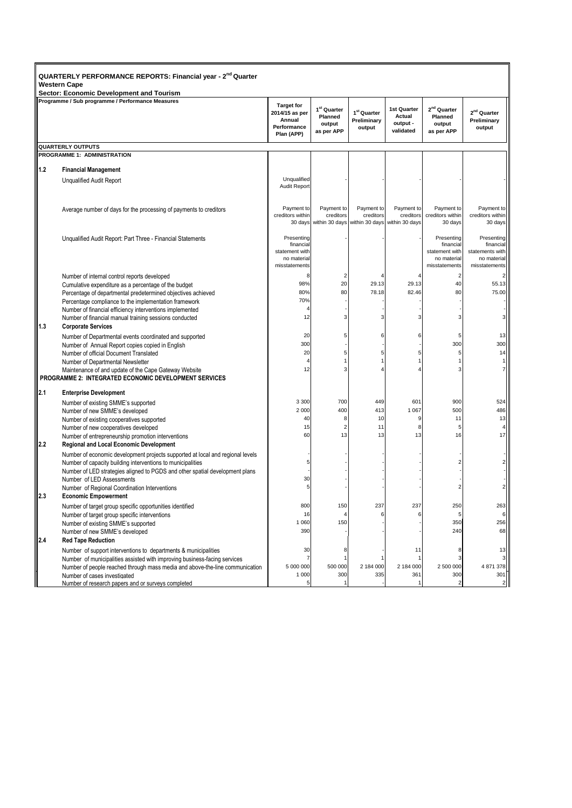| QUARTERLY PERFORMANCE REPORTS: Financial year - 2 <sup>nd</sup> Quarter<br><b>Western Cape</b> |                                                                                                                       |                                                                            |                                                            |                                                                  |                                                |                                                                           |                                                                            |
|------------------------------------------------------------------------------------------------|-----------------------------------------------------------------------------------------------------------------------|----------------------------------------------------------------------------|------------------------------------------------------------|------------------------------------------------------------------|------------------------------------------------|---------------------------------------------------------------------------|----------------------------------------------------------------------------|
| <b>Sector: Economic Development and Tourism</b>                                                |                                                                                                                       |                                                                            |                                                            |                                                                  |                                                |                                                                           |                                                                            |
|                                                                                                | Programme / Sub programme / Performance Measures                                                                      | <b>Target for</b><br>2014/15 as per<br>Annual<br>Performance<br>Plan (APP) | 1 <sup>st</sup> Quarter<br>Planned<br>output<br>as per APP | 1 <sup>st</sup> Quarter<br>Preliminary<br>output                 | 1st Quarter<br>Actual<br>output -<br>validated | 2 <sup>nd</sup> Quarter<br>Planned<br>output<br>as per APP                | 2 <sup>nd</sup> Quarter<br>Preliminary<br>output                           |
|                                                                                                | <b>QUARTERLY OUTPUTS</b>                                                                                              |                                                                            |                                                            |                                                                  |                                                |                                                                           |                                                                            |
|                                                                                                | PROGRAMME 1: ADMINISTRATION                                                                                           |                                                                            |                                                            |                                                                  |                                                |                                                                           |                                                                            |
| $1.2$                                                                                          | <b>Financial Management</b>                                                                                           |                                                                            |                                                            |                                                                  |                                                |                                                                           |                                                                            |
|                                                                                                | <b>Unqualified Audit Report</b>                                                                                       | Unqualified                                                                |                                                            |                                                                  |                                                |                                                                           |                                                                            |
|                                                                                                |                                                                                                                       | Audit Report                                                               |                                                            |                                                                  |                                                |                                                                           |                                                                            |
|                                                                                                |                                                                                                                       |                                                                            |                                                            |                                                                  |                                                |                                                                           |                                                                            |
|                                                                                                | Average number of days for the processing of payments to creditors                                                    | Payment to<br>creditors within                                             | Payment to<br>creditors                                    | Payment to<br>creditors<br>30 days within 30 days within 30 days | Payment to<br>creditors<br>within 30 days      | Payment to<br>creditors within<br>30 days                                 | Payment to<br>creditors within<br>30 days                                  |
|                                                                                                | Unqualified Audit Report: Part Three - Financial Statements                                                           | Presenting<br>financial<br>statement with<br>no material<br>misstatements  |                                                            |                                                                  |                                                | Presenting<br>financial<br>statement with<br>no material<br>misstatements | Presenting<br>financial<br>statements with<br>no material<br>misstatements |
|                                                                                                | Number of internal control reports developed                                                                          | 8                                                                          | 2                                                          |                                                                  | $\overline{4}$                                 | 2                                                                         |                                                                            |
|                                                                                                | Cumulative expenditure as a percentage of the budget                                                                  | 98%                                                                        | 20                                                         | 29.13                                                            | 29.13                                          | 40                                                                        | 55.13                                                                      |
|                                                                                                | Percentage of departmental predetermined objectives achieved<br>Percentage compliance to the implementation framework | 80%<br>70%                                                                 | 80                                                         | 78.18                                                            | 82.46                                          | 80                                                                        | 75.00                                                                      |
|                                                                                                | Number of financial efficiency interventions implemented                                                              |                                                                            |                                                            |                                                                  |                                                |                                                                           |                                                                            |
| $\vert$ 1.3                                                                                    | Number of financial manual training sessions conducted<br><b>Corporate Services</b>                                   | 12                                                                         | 3                                                          | 3                                                                | 3                                              |                                                                           |                                                                            |
|                                                                                                | Number of Departmental events coordinated and supported                                                               | 20                                                                         | 5                                                          | 6                                                                | 6                                              | 5                                                                         | 13                                                                         |
|                                                                                                | Number of Annual Report copies copied in English                                                                      | 300                                                                        |                                                            |                                                                  |                                                | 300                                                                       | 300                                                                        |
|                                                                                                | Number of official Document Translated<br>Number of Departmental Newsletter                                           | 20                                                                         | 5                                                          | 5                                                                | 5                                              | 5                                                                         | 14                                                                         |
|                                                                                                | Maintenance of and update of the Cape Gateway Website                                                                 | 12                                                                         |                                                            |                                                                  |                                                |                                                                           |                                                                            |
|                                                                                                | PROGRAMME 2: INTEGRATED ECONOMIC DEVELOPMENT SERVICES                                                                 |                                                                            |                                                            |                                                                  |                                                |                                                                           |                                                                            |
| 2.1                                                                                            | <b>Enterprise Development</b>                                                                                         |                                                                            |                                                            |                                                                  |                                                |                                                                           |                                                                            |
|                                                                                                | Number of existing SMME's supported                                                                                   | 3 3 0 0                                                                    | 700                                                        | 449                                                              | 601                                            | 900                                                                       | 524                                                                        |
|                                                                                                | Number of new SMME's developed                                                                                        | 2 0 0 0                                                                    | 400                                                        | 413                                                              | 1 0 6 7                                        | 500                                                                       | 486                                                                        |
|                                                                                                | Number of existing cooperatives supported                                                                             | 40                                                                         | 8                                                          | 10                                                               | 9                                              | 11                                                                        | 13                                                                         |
|                                                                                                | Number of new cooperatives developed                                                                                  | 15                                                                         | $\overline{2}$                                             | 11                                                               | 8                                              | 5                                                                         |                                                                            |
| 12.2                                                                                           | Number of entrepreneurship promotion interventions<br><b>Regional and Local Economic Development</b>                  | 60                                                                         | 13                                                         | 13                                                               | 13                                             | 16                                                                        | 17                                                                         |
|                                                                                                | Number of economic development projects supported at local and regional levels                                        |                                                                            |                                                            |                                                                  |                                                |                                                                           |                                                                            |
|                                                                                                | Number of capacity building interventions to municipalities                                                           | 5                                                                          |                                                            |                                                                  |                                                |                                                                           |                                                                            |
|                                                                                                | Number of LED strategies aligned to PGDS and other spatial development plans                                          |                                                                            |                                                            |                                                                  |                                                |                                                                           |                                                                            |
|                                                                                                | Number of LED Assessments                                                                                             | 30                                                                         |                                                            |                                                                  |                                                |                                                                           |                                                                            |
|                                                                                                | Number of Regional Coordination Interventions                                                                         | 5                                                                          |                                                            |                                                                  |                                                |                                                                           |                                                                            |
| $\parallel$ 2.3                                                                                | <b>Economic Empowerment</b>                                                                                           | 800                                                                        |                                                            |                                                                  | 237                                            |                                                                           |                                                                            |
|                                                                                                | Number of target group specific opportunities identified<br>Number of target group specific interventions             | 16                                                                         | 150                                                        | 237                                                              |                                                | 250                                                                       | 263<br>61                                                                  |
|                                                                                                | Number of existing SMME's supported                                                                                   | 1 0 6 0                                                                    | 150                                                        |                                                                  |                                                | 350                                                                       | 256                                                                        |
|                                                                                                | Number of new SMME's developed                                                                                        | 390                                                                        |                                                            |                                                                  |                                                | 240                                                                       | 68                                                                         |
| $\vert$ <sub>2.4</sub>                                                                         | <b>Red Tape Reduction</b>                                                                                             |                                                                            |                                                            |                                                                  |                                                |                                                                           |                                                                            |
|                                                                                                | Number of support interventions to departments & municipalities                                                       | 30                                                                         |                                                            |                                                                  | 11                                             |                                                                           | 13                                                                         |
|                                                                                                | Number of municipalities assisted with improving business-facing services                                             | 7                                                                          |                                                            |                                                                  |                                                |                                                                           |                                                                            |
|                                                                                                | Number of people reached through mass media and above-the-line communication<br>Number of cases investigated          | 5 000 000<br>1 0 0 0                                                       | 500 000<br>300                                             | 2 184 000<br>335                                                 | 2 184 000<br>361                               | 2 500 000<br>300                                                          | 4 871 378<br>301                                                           |
|                                                                                                | Number of research papers and or surveys completed                                                                    | 5                                                                          |                                                            |                                                                  |                                                |                                                                           | 2                                                                          |
|                                                                                                |                                                                                                                       |                                                                            |                                                            |                                                                  |                                                |                                                                           |                                                                            |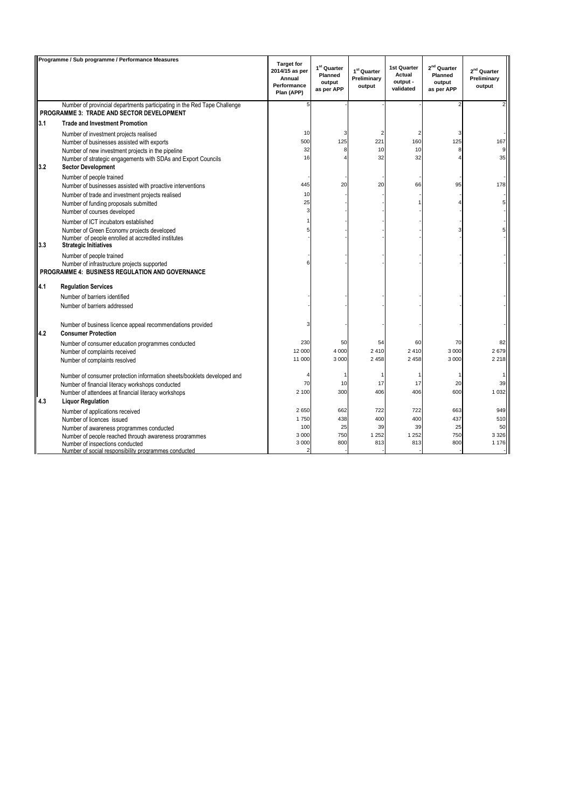| Programme / Sub programme / Performance Measures |                                                                                                                                  | <b>Target for</b>                                     |                                                  |                                                  |                                                |                                                            |                                        |
|--------------------------------------------------|----------------------------------------------------------------------------------------------------------------------------------|-------------------------------------------------------|--------------------------------------------------|--------------------------------------------------|------------------------------------------------|------------------------------------------------------------|----------------------------------------|
|                                                  |                                                                                                                                  | 2014/15 as per<br>Annual<br>Performance<br>Plan (APP) | $1st$ Quarter<br>Planned<br>output<br>as per APP | 1 <sup>st</sup> Quarter<br>Preliminary<br>output | 1st Quarter<br>Actual<br>output -<br>validated | 2 <sup>nd</sup> Quarter<br>Planned<br>output<br>as per APP | $2nd$ Quarter<br>Preliminary<br>output |
|                                                  | Number of provincial departments participating in the Red Tape Challenge                                                         |                                                       |                                                  |                                                  |                                                |                                                            |                                        |
|                                                  | PROGRAMME 3: TRADE AND SECTOR DEVELOPMENT                                                                                        |                                                       |                                                  |                                                  |                                                |                                                            |                                        |
| 3.1                                              | <b>Trade and Investment Promotion</b>                                                                                            |                                                       |                                                  |                                                  |                                                |                                                            |                                        |
|                                                  | Number of investment projects realised                                                                                           | 10                                                    | З                                                | $\overline{2}$                                   | 2                                              |                                                            |                                        |
|                                                  | Number of businesses assisted with exports                                                                                       | 500                                                   | 125                                              | 221                                              | 160                                            | 125                                                        | 167                                    |
|                                                  | Number of new investment projects in the pipeline                                                                                | 32                                                    | Я                                                | 10                                               | 10                                             |                                                            |                                        |
| 3.2                                              | Number of strategic engagements with SDAs and Export Councils<br><b>Sector Development</b>                                       | 16                                                    |                                                  | 32                                               | 32                                             |                                                            | 35                                     |
|                                                  | Number of people trained                                                                                                         |                                                       |                                                  |                                                  |                                                |                                                            |                                        |
|                                                  | Number of businesses assisted with proactive interventions                                                                       | 445                                                   | 20                                               | 20                                               | 66                                             | 95                                                         | 178                                    |
|                                                  | Number of trade and investment projects realised                                                                                 | 10                                                    |                                                  |                                                  |                                                |                                                            |                                        |
|                                                  | Number of funding proposals submitted                                                                                            | 25                                                    |                                                  |                                                  |                                                |                                                            |                                        |
|                                                  | Number of courses developed                                                                                                      |                                                       |                                                  |                                                  |                                                |                                                            |                                        |
|                                                  | Number of ICT incubators established                                                                                             |                                                       |                                                  |                                                  |                                                |                                                            |                                        |
| 3.3                                              | Number of Green Economy projects developed<br>Number of people enrolled at accredited institutes<br><b>Strategic Initiatives</b> |                                                       |                                                  |                                                  |                                                |                                                            |                                        |
|                                                  | Number of people trained                                                                                                         |                                                       |                                                  |                                                  |                                                |                                                            |                                        |
|                                                  | Number of infrastructure projects supported<br>PROGRAMME 4: BUSINESS REGULATION AND GOVERNANCE                                   |                                                       |                                                  |                                                  |                                                |                                                            |                                        |
| 4.1                                              | <b>Regulation Services</b>                                                                                                       |                                                       |                                                  |                                                  |                                                |                                                            |                                        |
|                                                  | Number of barriers identified                                                                                                    |                                                       |                                                  |                                                  |                                                |                                                            |                                        |
|                                                  | Number of barriers addressed                                                                                                     |                                                       |                                                  |                                                  |                                                |                                                            |                                        |
| 4.2                                              | Number of business licence appeal recommendations provided<br><b>Consumer Protection</b>                                         |                                                       |                                                  |                                                  |                                                |                                                            |                                        |
|                                                  | Number of consumer education programmes conducted                                                                                | 230                                                   | 50                                               | 54                                               | 60                                             | 70                                                         | 82                                     |
|                                                  | Number of complaints received                                                                                                    | 12 000                                                | 4 0 0 0                                          | 2 4 1 0                                          | 2410                                           | 3 0 0 0                                                    | 2679                                   |
|                                                  | Number of complaints resolved                                                                                                    | 11 000                                                | 3 0 0 0                                          | 2 4 5 8                                          | 2 4 5 8                                        | 3 0 0 0                                                    | 2 2 1 8                                |
|                                                  | Number of consumer protection information sheets/booklets developed and                                                          |                                                       |                                                  |                                                  |                                                |                                                            |                                        |
|                                                  | Number of financial literacy workshops conducted                                                                                 | 70                                                    | 10                                               | 17                                               | 17                                             | 20                                                         | 39                                     |
|                                                  | Number of attendees at financial literacy workshops                                                                              | 2 100                                                 | 300                                              | 406                                              | 406                                            | 600                                                        | 1 0 3 2                                |
| 4.3                                              | <b>Liquor Regulation</b>                                                                                                         |                                                       |                                                  |                                                  |                                                |                                                            |                                        |
|                                                  | Number of applications received                                                                                                  | 2650                                                  | 662                                              | 722                                              | 722                                            | 663                                                        | 949                                    |
|                                                  | Number of licences issued                                                                                                        | 1750                                                  | 438                                              | 400                                              | 400                                            | 437                                                        | 510                                    |
|                                                  | Number of awareness programmes conducted                                                                                         | 100                                                   | 25                                               | 39                                               | 39                                             | 25                                                         | 50                                     |
|                                                  | Number of people reached through awareness programmes                                                                            | 3 0 0 0<br>3 0 0 0                                    | 750<br>800                                       | 1 2 5 2<br>813                                   | 1 2 5 2<br>813                                 | 750<br>800                                                 | 3 3 2 6<br>1 1 7 6                     |
|                                                  | Number of inspections conducted<br>Number of social responsibility programmes conducted                                          |                                                       |                                                  |                                                  |                                                |                                                            |                                        |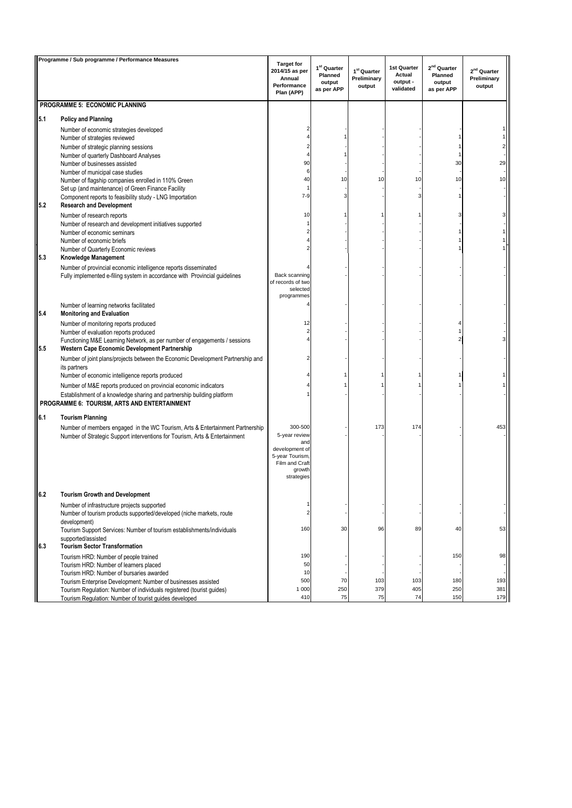|     | Programme / Sub programme / Performance Measures                                                                                       |                                                                            |                                                            |                                                  |                                                |                                                            |                                        |
|-----|----------------------------------------------------------------------------------------------------------------------------------------|----------------------------------------------------------------------------|------------------------------------------------------------|--------------------------------------------------|------------------------------------------------|------------------------------------------------------------|----------------------------------------|
|     |                                                                                                                                        | <b>Target for</b><br>2014/15 as per<br>Annual<br>Performance<br>Plan (APP) | 1 <sup>st</sup> Quarter<br>Planned<br>output<br>as per APP | 1 <sup>st</sup> Quarter<br>Preliminary<br>output | 1st Quarter<br>Actual<br>output -<br>validated | 2 <sup>nd</sup> Quarter<br>Planned<br>output<br>as per APP | $2nd$ Quarter<br>Preliminary<br>output |
|     | PROGRAMME 5: ECONOMIC PLANNING                                                                                                         |                                                                            |                                                            |                                                  |                                                |                                                            |                                        |
| 5.1 | <b>Policy and Planning</b>                                                                                                             |                                                                            |                                                            |                                                  |                                                |                                                            |                                        |
|     | Number of economic strategies developed                                                                                                |                                                                            |                                                            |                                                  |                                                |                                                            |                                        |
|     | Number of strategies reviewed                                                                                                          |                                                                            |                                                            |                                                  |                                                |                                                            |                                        |
|     | Number of strategic planning sessions                                                                                                  |                                                                            |                                                            |                                                  |                                                |                                                            |                                        |
|     | Number of quarterly Dashboard Analyses<br>Number of businesses assisted                                                                | 90                                                                         |                                                            |                                                  |                                                | 30                                                         | 29                                     |
|     | Number of municipal case studies                                                                                                       | 6                                                                          |                                                            |                                                  |                                                |                                                            |                                        |
|     | Number of flagship companies enrolled in 110% Green                                                                                    | 40                                                                         | 10                                                         | 10                                               | 10                                             | 10                                                         | 10                                     |
|     | Set up (and maintenance) of Green Finance Facility<br>Component reports to feasibility study - LNG Importation                         | $7-9$                                                                      | 3                                                          |                                                  |                                                |                                                            |                                        |
| 5.2 | <b>Research and Development</b>                                                                                                        |                                                                            |                                                            |                                                  |                                                |                                                            |                                        |
|     | Number of research reports                                                                                                             | 10                                                                         |                                                            |                                                  |                                                |                                                            |                                        |
|     | Number of research and development initiatives supported                                                                               |                                                                            |                                                            |                                                  |                                                |                                                            |                                        |
|     | Number of economic seminars                                                                                                            |                                                                            |                                                            |                                                  |                                                |                                                            |                                        |
|     | Number of economic briefs<br>Number of Quarterly Economic reviews                                                                      |                                                                            |                                                            |                                                  |                                                |                                                            |                                        |
| 5.3 | Knowledge Management                                                                                                                   |                                                                            |                                                            |                                                  |                                                |                                                            |                                        |
|     | Number of provincial economic intelligence reports disseminated                                                                        |                                                                            |                                                            |                                                  |                                                |                                                            |                                        |
|     | Fully implemented e-filing system in accordance with Provincial guidelines                                                             | Back scanning                                                              |                                                            |                                                  |                                                |                                                            |                                        |
|     |                                                                                                                                        | of records of two<br>selected                                              |                                                            |                                                  |                                                |                                                            |                                        |
|     |                                                                                                                                        | programmes                                                                 |                                                            |                                                  |                                                |                                                            |                                        |
| 5.4 | Number of learning networks facilitated<br><b>Monitoring and Evaluation</b>                                                            |                                                                            |                                                            |                                                  |                                                |                                                            |                                        |
|     | Number of monitoring reports produced                                                                                                  | 12                                                                         |                                                            |                                                  |                                                |                                                            |                                        |
|     | Number of evaluation reports produced<br>Functioning M&E Learning Network, as per number of engagements / sessions                     |                                                                            |                                                            |                                                  |                                                |                                                            |                                        |
| 5.5 | Western Cape Economic Development Partnership                                                                                          |                                                                            |                                                            |                                                  |                                                |                                                            |                                        |
|     | Number of joint plans/projects between the Economic Development Partnership and                                                        |                                                                            |                                                            |                                                  |                                                |                                                            |                                        |
|     | its partners<br>Number of economic intelligence reports produced                                                                       |                                                                            |                                                            |                                                  |                                                |                                                            |                                        |
|     | Number of M&E reports produced on provincial economic indicators                                                                       |                                                                            |                                                            |                                                  |                                                |                                                            |                                        |
|     | Establishment of a knowledge sharing and partnership building platform<br>PROGRAMME 6: TOURISM, ARTS AND ENTERTAINMENT                 |                                                                            |                                                            |                                                  |                                                |                                                            |                                        |
| 6.1 | <b>Tourism Planning</b>                                                                                                                |                                                                            |                                                            |                                                  |                                                |                                                            |                                        |
|     | Number of members engaged in the WC Tourism, Arts & Entertainment Partnership                                                          | 300-500                                                                    |                                                            | 173                                              | 174                                            |                                                            | 453                                    |
|     | Number of Strategic Support interventions for Tourism, Arts & Entertainment                                                            | 5-year review<br>and                                                       |                                                            |                                                  |                                                |                                                            |                                        |
|     |                                                                                                                                        | development of                                                             |                                                            |                                                  |                                                |                                                            |                                        |
|     |                                                                                                                                        | 5-year Tourism<br>Film and Craft                                           |                                                            |                                                  |                                                |                                                            |                                        |
|     |                                                                                                                                        | growth                                                                     |                                                            |                                                  |                                                |                                                            |                                        |
|     |                                                                                                                                        | strategies                                                                 |                                                            |                                                  |                                                |                                                            |                                        |
| 6.2 | <b>Tourism Growth and Development</b>                                                                                                  |                                                                            |                                                            |                                                  |                                                |                                                            |                                        |
|     | Number of infrastructure projects supported                                                                                            | 1                                                                          |                                                            |                                                  |                                                |                                                            |                                        |
|     | Number of tourism products supported/developed (niche markets, route                                                                   | $\overline{c}$                                                             |                                                            |                                                  |                                                |                                                            |                                        |
|     | development)                                                                                                                           | 160                                                                        | 30                                                         | 96                                               | 89                                             | 40                                                         | 53                                     |
|     | Tourism Support Services: Number of tourism establishments/individuals<br>supported/assisted                                           |                                                                            |                                                            |                                                  |                                                |                                                            |                                        |
| 6.3 | <b>Tourism Sector Transformation</b>                                                                                                   |                                                                            |                                                            |                                                  |                                                |                                                            |                                        |
|     | Tourism HRD: Number of people trained                                                                                                  | 190                                                                        |                                                            |                                                  |                                                | 150                                                        | 98                                     |
|     | Tourism HRD: Number of learners placed                                                                                                 | 50                                                                         |                                                            |                                                  |                                                |                                                            |                                        |
|     | Tourism HRD: Number of bursaries awarded                                                                                               | 10<br>500                                                                  | 70                                                         | 103                                              | 103                                            | 180                                                        | 193                                    |
|     | Tourism Enterprise Development: Number of businesses assisted<br>Tourism Regulation: Number of individuals registered (tourist guides) | 1 000                                                                      | 250                                                        | 379                                              | 405                                            | 250                                                        | 381                                    |
|     | Tourism Regulation: Number of tourist guides developed                                                                                 | 410                                                                        | 75                                                         | 75                                               | 74                                             | 150                                                        | 179                                    |